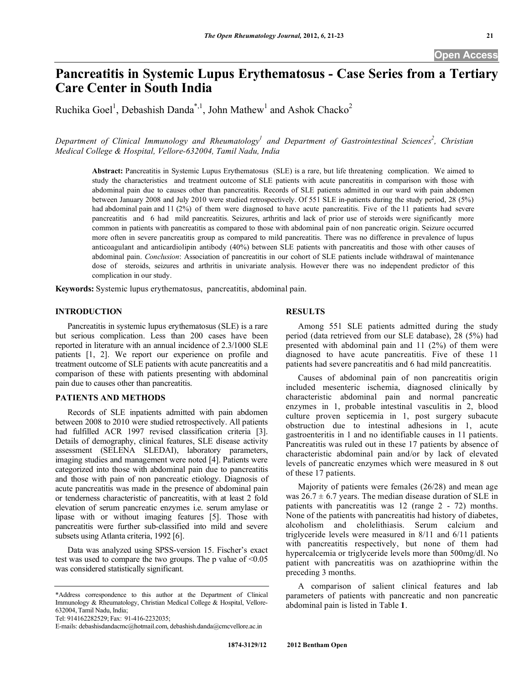# **Pancreatitis in Systemic Lupus Erythematosus - Case Series from a Tertiary Care Center in South India**

Ruchika Goel<sup>1</sup>, Debashish Danda<sup>\*,1</sup>, John Mathew<sup>1</sup> and Ashok Chacko<sup>2</sup>

Department of Clinical Immunology and Rheumatology<sup>1</sup> and Department of Gastrointestinal Sciences<sup>2</sup>, Christian *Medical College & Hospital, Vellore-632004, Tamil Nadu, India* 

**Abstract:** Pancreatitis in Systemic Lupus Erythematosus (SLE) is a rare, but life threatening complication. We aimed to study the characteristics and treatment outcome of SLE patients with acute pancreatitis in comparison with those with abdominal pain due to causes other than pancreatitis. Records of SLE patients admitted in our ward with pain abdomen between January 2008 and July 2010 were studied retrospectively. Of 551 SLE in-patients during the study period, 28 (5%) had abdominal pain and 11 (2%) of them were diagnosed to have acute pancreatitis. Five of the 11 patients had severe pancreatitis and 6 had mild pancreatitis. Seizures, arthritis and lack of prior use of steroids were significantly more common in patients with pancreatitis as compared to those with abdominal pain of non pancreatic origin. Seizure occurred more often in severe pancreatitis group as compared to mild pancreatitis. There was no difference in prevalence of lupus anticoagulant and anticardiolipin antibody (40%) between SLE patients with pancreatitis and those with other causes of abdominal pain. *Conclusion*: Association of pancreatitis in our cohort of SLE patients include withdrawal of maintenance dose of steroids, seizures and arthritis in univariate analysis. However there was no independent predictor of this complication in our study.

**Keywords:** Systemic lupus erythematosus, pancreatitis, abdominal pain.

# **INTRODUCTION**

 Pancreatitis in systemic lupus erythematosus (SLE) is a rare but serious complication. Less than 200 cases have been reported in literature with an annual incidence of 2.3/1000 SLE patients [1, 2]. We report our experience on profile and treatment outcome of SLE patients with acute pancreatitis and a comparison of these with patients presenting with abdominal pain due to causes other than pancreatitis.

## **PATIENTS AND METHODS**

 Records of SLE inpatients admitted with pain abdomen between 2008 to 2010 were studied retrospectively. All patients had fulfilled ACR 1997 revised classification criteria [3]. Details of demography, clinical features, SLE disease activity assessment (SELENA SLEDAI), laboratory parameters, imaging studies and management were noted [4]. Patients were categorized into those with abdominal pain due to pancreatitis and those with pain of non pancreatic etiology. Diagnosis of acute pancreatitis was made in the presence of abdominal pain or tenderness characteristic of pancreatitis, with at least 2 fold elevation of serum pancreatic enzymes i.e. serum amylase or lipase with or without imaging features [5]. Those with pancreatitis were further sub-classified into mild and severe subsets using Atlanta criteria, 1992 [6].

 Data was analyzed using SPSS-version 15. Fischer's exact test was used to compare the two groups. The p value of <0.05 was considered statistically significant.

Tel: 914162282529; Fax: 91-416-2232035;

### **RESULTS**

 Among 551 SLE patients admitted during the study period (data retrieved from our SLE database), 28 (5%) had presented with abdominal pain and 11 (2%) of them were diagnosed to have acute pancreatitis. Five of these 11 patients had severe pancreatitis and 6 had mild pancreatitis.

 Causes of abdominal pain of non pancreatitis origin included mesenteric ischemia, diagnosed clinically by characteristic abdominal pain and normal pancreatic enzymes in 1, probable intestinal vasculitis in 2, blood culture proven septicemia in 1, post surgery subacute obstruction due to intestinal adhesions in 1, acute gastroenteritis in 1 and no identifiable causes in 11 patients. Pancreatitis was ruled out in these 17 patients by absence of characteristic abdominal pain and/or by lack of elevated levels of pancreatic enzymes which were measured in 8 out of these 17 patients.

 Majority of patients were females (26/28) and mean age was  $26.7 \pm 6.7$  years. The median disease duration of SLE in patients with pancreatitis was 12 (range 2 - 72) months. None of the patients with pancreatitis had history of diabetes, alcoholism and cholelithiasis. Serum calcium and triglyceride levels were measured in 8/11 and 6/11 patients with pancreatitis respectively, but none of them had hypercalcemia or triglyceride levels more than 500mg/dl. No patient with pancreatitis was on azathioprine within the preceding 3 months.

 A comparison of salient clinical features and lab parameters of patients with pancreatic and non pancreatic abdominal pain is listed in Table **1**.

<sup>\*</sup>Address correspondence to this author at the Department of Clinical Immunology & Rheumatology, Christian Medical College & Hospital, Vellore-632004, Tamil Nadu, India;

E-mails: debashisdandacmc@hotmail.com, debashish.danda@cmcvellore.ac.in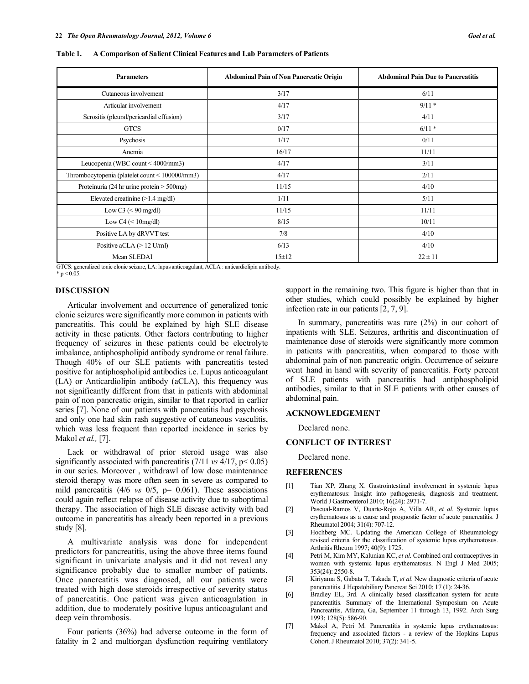| <b>Parameters</b>                              | <b>Abdominal Pain of Non Pancreatic Origin</b> | <b>Abdominal Pain Due to Pancreatitis</b> |
|------------------------------------------------|------------------------------------------------|-------------------------------------------|
| Cutaneous involvement                          | 3/17                                           | 6/11                                      |
| Articular involvement                          | 4/17                                           | $9/11*$                                   |
| Serositis (pleural/pericardial effusion)       | 3/17                                           | 4/11                                      |
| <b>GTCS</b>                                    | 0/17                                           | $6/11*$                                   |
| Psychosis                                      | 1/17                                           | 0/11                                      |
| Anemia                                         | 16/17                                          | 11/11                                     |
| Leucopenia (WBC count < 4000/mm3)              | 4/17                                           | 3/11                                      |
| Thrombocytopenia (platelet count < 100000/mm3) | 4/17                                           | 2/11                                      |
| Proteinuria (24 hr urine protein $>$ 500mg)    | 11/15                                          | 4/10                                      |
| Elevated creatinine $(>1.4 \text{ mg/dl})$     | 1/11                                           | 5/11                                      |
| Low C3 $(< 90$ mg/dl)                          | 11/15                                          | 11/11                                     |
| Low C4 $(< 10$ mg/dl)                          | 8/15                                           | 10/11                                     |
| Positive LA by dRVVT test                      | 7/8                                            | 4/10                                      |
| Positive aCLA $(> 12$ U/ml)                    | 6/13                                           | 4/10                                      |
| Mean SLEDAI                                    | $15 \pm 12$                                    | $22 \pm 11$                               |

**Table 1. A Comparison of Salient Clinical Features and Lab Parameters of Patients** 

GTCS: generalized tonic clonic seizure, LA: lupus anticoagulant, ACLA : anticardiolipin antibody.

 $* p < 0.05$ .

## **DISCUSSION**

 Articular involvement and occurrence of generalized tonic clonic seizures were significantly more common in patients with pancreatitis. This could be explained by high SLE disease activity in these patients. Other factors contributing to higher frequency of seizures in these patients could be electrolyte imbalance, antiphospholipid antibody syndrome or renal failure. Though 40% of our SLE patients with pancreatitis tested positive for antiphospholipid antibodies i.e. Lupus anticoagulant (LA) or Anticardiolipin antibody (aCLA), this frequency was not significantly different from that in patients with abdominal pain of non pancreatic origin, similar to that reported in earlier series [7]. None of our patients with pancreatitis had psychosis and only one had skin rash suggestive of cutaneous vasculitis, which was less frequent than reported incidence in series by Makol *et al.,* [7].

Lack or withdrawal of prior steroid usage was also significantly associated with pancreatitis (7/11 *vs* 4/17, p< 0.05) in our series. Moreover , withdrawl of low dose maintenance steroid therapy was more often seen in severe as compared to mild pancreatitis (4/6 *vs* 0/5, p= 0.061). These associations could again reflect relapse of disease activity due to suboptimal therapy. The association of high SLE disease activity with bad outcome in pancreatitis has already been reported in a previous study [8].

 A multivariate analysis was done for independent predictors for pancreatitis, using the above three items found significant in univariate analysis and it did not reveal any significance probably due to smaller number of patients. Once pancreatitis was diagnosed, all our patients were treated with high dose steroids irrespective of severity status of pancreatitis. One patient was given anticoagulation in addition, due to moderately positive lupus anticoagulant and deep vein thrombosis.

 Four patients (36%) had adverse outcome in the form of fatality in 2 and multiorgan dysfunction requiring ventilatory support in the remaining two. This figure is higher than that in other studies, which could possibly be explained by higher infection rate in our patients [2, 7, 9].

 In summary, pancreatitis was rare (2%) in our cohort of inpatients with SLE. Seizures, arthritis and discontinuation of maintenance dose of steroids were significantly more common in patients with pancreatitis, when compared to those with abdominal pain of non pancreatic origin. Occurrence of seizure went hand in hand with severity of pancreatitis. Forty percent of SLE patients with pancreatitis had antiphospholipid antibodies, similar to that in SLE patients with other causes of abdominal pain.

## **ACKNOWLEDGEMENT**

Declared none.

#### **CONFLICT OF INTEREST**

Declared none.

#### **REFERENCES**

- [1] Tian XP, Zhang X. Gastrointestinal involvement in systemic lupus erythematosus: Insight into pathogenesis, diagnosis and treatment. World J Gastroenterol 2010; 16(24): 2971-7.
- [2] Pascual-Ramos V, Duarte-Rojo A, Villa AR, *et al*. Systemic lupus erythematosus as a cause and prognostic factor of acute pancreatitis. J Rheumatol 2004; 31(4): 707-12.
- [3] Hochberg MC. Updating the American College of Rheumatology revised criteria for the classification of systemic lupus erythematosus. Arthritis Rheum 1997; 40(9): 1725.
- [4] Petri M, Kim MY, Kalunian KC, *et al*. Combined oral contraceptives in women with systemic lupus erythematosus. N Engl J Med 2005; 353(24): 2550-8.
- [5] Kiriyama S, Gabata T, Takada T, *et al*. New diagnostic criteria of acute pancreatitis. J Hepatobiliary Pancreat Sci 2010; 17 (1): 24-36.
- [6] Bradley EL, 3rd. A clinically based classification system for acute pancreatitis. Summary of the International Symposium on Acute Pancreatitis, Atlanta, Ga, September 11 through 13, 1992. Arch Surg 1993; 128(5): 586-90.
- [7] Makol A, Petri M. Pancreatitis in systemic lupus erythematosus: frequency and associated factors - a review of the Hopkins Lupus Cohort. J Rheumatol 2010; 37(2): 341-5.